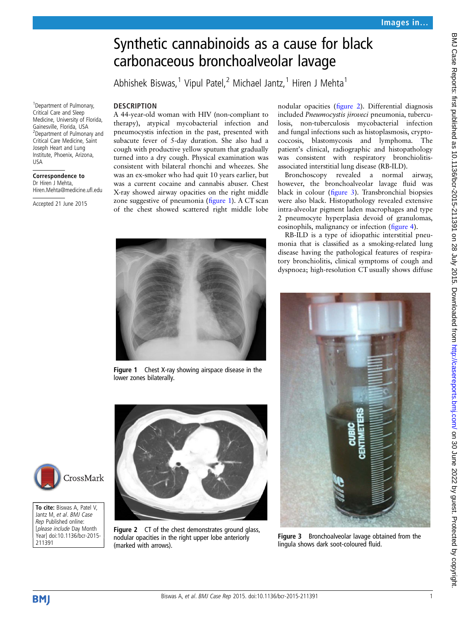# Synthetic cannabinoids as a cause for black carbonaceous bronchoalveolar lavage

Abhishek Biswas,<sup>1</sup> Vipul Patel,<sup>2</sup> Michael Jantz,<sup>1</sup> Hiren J Mehta<sup>1</sup>

### **DESCRIPTION**

A 44-year-old woman with HIV (non-compliant to therapy), atypical mycobacterial infection and pneumocystis infection in the past, presented with subacute fever of 5-day duration. She also had a cough with productive yellow sputum that gradually turned into a dry cough. Physical examination was consistent with bilateral rhonchi and wheezes. She was an ex-smoker who had quit 10 years earlier, but was a current cocaine and cannabis abuser. Chest X-ray showed airway opacities on the right middle zone suggestive of pneumonia (figure 1). A CT scan of the chest showed scattered right middle lobe

nodular opacities (figure 2). Differential diagnosis included Pneumocystis jiroveci pneumonia, tuberculosis, non-tuberculosis mycobacterial infection and fungal infections such as histoplasmosis, cryptococcosis, blastomycosis and lymphoma. The patient's clinical, radiographic and histopathology was consistent with respiratory bronchiolitisassociated interstitial lung disease (RB-ILD).

Bronchoscopy revealed a normal airway, however, the bronchoalveolar lavage fluid was black in colour (figure 3). Transbronchial biopsies were also black. Histopathology revealed extensive intra-alveolar pigment laden macrophages and type 2 pneumocyte hyperplasia devoid of granulomas, eosinophils, malignancy or infection (fi[gure 4](#page-1-0)).

RB-ILD is a type of idiopathic interstitial pneumonia that is classified as a smoking-related lung disease having the pathological features of respiratory bronchiolitis, clinical symptoms of cough and dyspnoea; high-resolution CT usually shows diffuse



Figure 1 Chest X-ray showing airspace disease in the lower zones bilaterally.



Figure 2 CT of the chest demonstrates ground glass, nodular opacities in the right upper lobe anteriorly (marked with arrows).



Figure 3 Bronchoalveolar lavage obtained from the lingula shows dark soot-coloured fluid.

1 Department of Pulmonary, Critical Care and Sleep Medicine, University of Florida, Gainesville, Florida, USA 2 Department of Pulmonary and Critical Care Medicine, Saint Joseph Heart and Lung Institute, Phoenix, Arizona, USA

## Correspondence to

Dr Hiren J Mehta Hiren.Mehta@medicine.ufl.edu

Accepted 21 June 2015



To cite: Biswas A, Patel V, Jantz M, et al. BMJ Case Rep Published online: [please include Day Month Year] doi:10.1136/bcr-2015- 211391